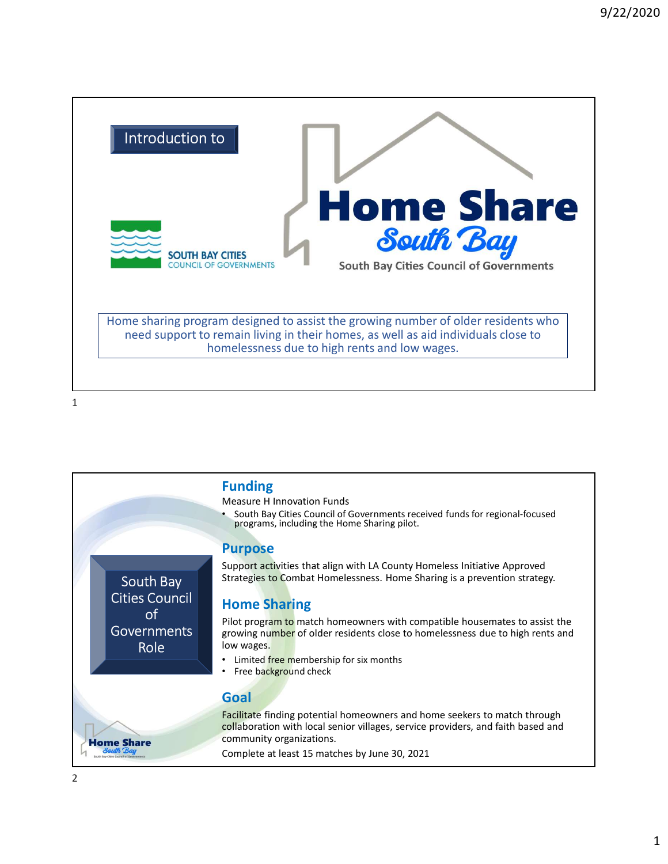

 $1$ 

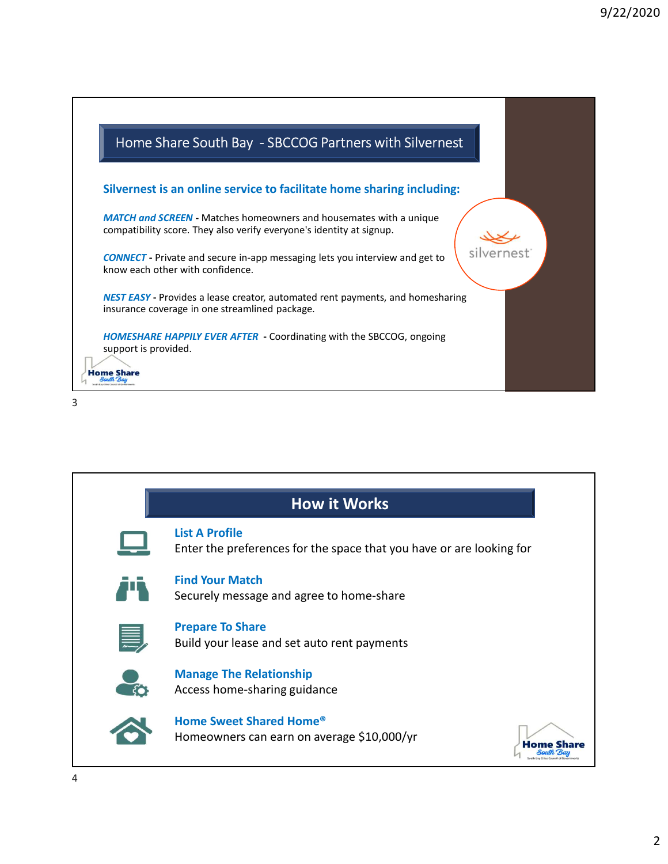

3

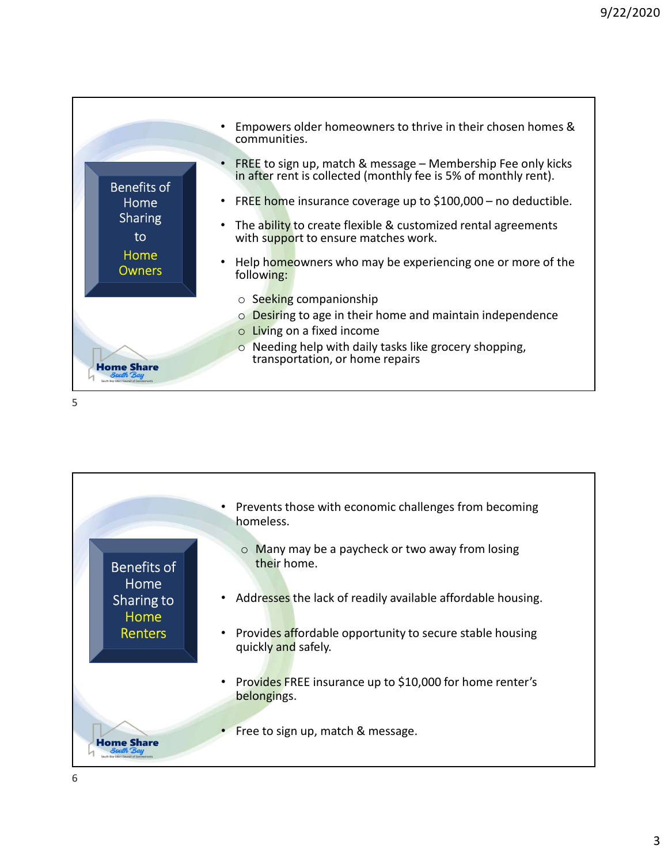

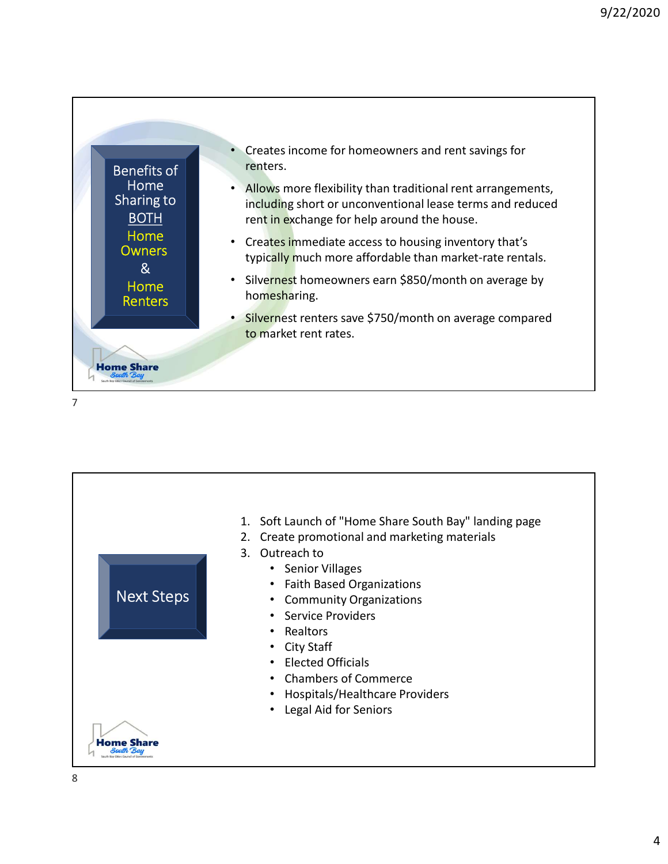